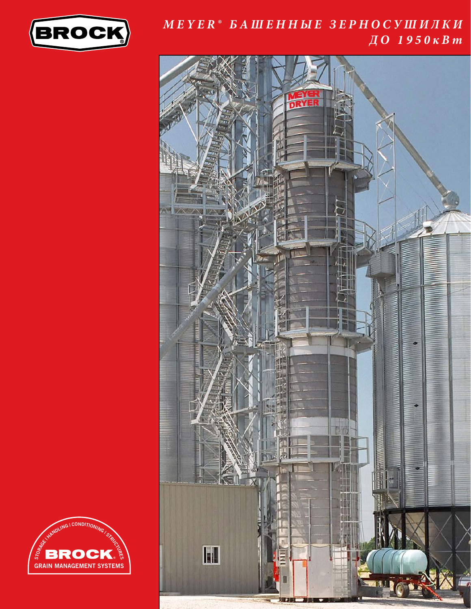

## *MEYER® БАШЕННЫЕ ЗЕРНОСУШИЛКИ ДО 1950кВт*



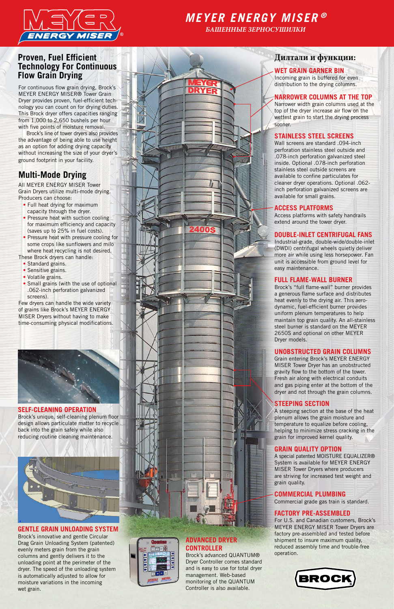

# *MEYER ENERGY MISER ®*

*БАШЕННЫЕ ЗЕРНОСУШИЛКИ*

## **Proven, Fuel Efficient Technology For Continuous Flow Grain Drying**

For continuous flow grain drying, Brock's MEYER ENERGY MISER® Tower Grain Dryer provides proven, fuel-efficient technology you can count on for drying duties. This Brock dryer offers capacities ranging from 1,000 to 2,650 bushels per hour with five points of moisture removal.

- Full heat drying for maximum capacity through the dryer.
- Pressure heat with suction cooling for maximum efficiency and capacity (saves up to 25% in fuel costs).
- Pressure heat with pressure cooling for some crops like sunflowers and milo where heat recycling is not desired.

 Brock's line of tower dryers also provides the advantage of being able to use height as an option for adding drying capacity without increasing the size of your dryer's ground footprint in your facility.

# **Multi-Mode Drying**

All MEYER ENERGY MISER Tower Grain Dryers utilize multi-mode drying. Producers can choose:

These Brock dryers can handle:

- Standard grains.
- Sensitive grains.
- Volatile grains.
- Small grains (with the use of optional .062-inch perforation galvanized screens).

Few dryers can handle the wide variety of grains like Brock's MEYER ENERGY MISER Dryers without having to make time-consuming physical modifications.

## **Дилтали и функции:**

#### **WET GRAIN GARNER BIN**

Incoming grain is buffered for even distribution to the drying columns.

#### **NARROWER COLUMNS AT THE TOP**

Narrower width grain columns used at the top of the dryer increase air flow on the wettest grain to start the drying process sooner.

#### **STAINLESS STEEL SCREENS**

Wall screens are standard .094-inch perforation stainless steel outside and .078-inch perforation galvanized steel inside. Optional .078-inch perforation stainless steel outside screens are available to confine particulates for cleaner dryer operations. Optional .062 inch perforation galvanized screens are available for small grains.

#### **ACCESS PLATFORMS**

Access platforms with safety handrails extend around the tower dryer.

#### **DOUBLE-INLET CENTRIFUGAL FANS**

Industrial-grade, double-wide/double-inlet (DWDI) centrifugal wheels quietly deliver more air while using less horsepower. Fan unit is accessible from ground level for easy maintenance.

#### **FULL FLAME-WALL BURNER**

Brock's "full flame-wall" burner provides a generous flame surface and distributes heat evenly to the drying air. This aerodynamic, fuel-efficient burner provides uniform plenum temperatures to help maintain top grain quality. An all-stainless steel burner is standard on the MEYER 2650S and optional on other MEYER Dryer models.

#### **UNOBSTRUCTED GRAIN COLUMNS**

Grain entering Brock's MEYER ENERGY MISER Tower Dryer has an unobstructed gravity flow to the bottom of the tower. Fresh air along with electrical conduits and gas piping enter at the bottom of the dryer and not through the grain columns.

#### **STEEPING SECTION**

A steeping section at the base of the heat plenum allows the grain moisture and temperature to equalize before cooling, helping to minimize stress cracking in the grain for improved kernel quality.



#### **GRAIN QUALITY OPTION**

A special patented MOISTURE EQUALIZER® System is available for MEYER ENERGY MISER Tower Dryers where producers are striving for increased test weight and grain quality.

#### **COMMERCIAL PLUMBING**

Commercial grade gas train is standard.

#### **FACTORY PRE-ASSEMBLED**

For U.S. and Canadian customers, Brock's MEYER ENERGY MISER Tower Dryers are factory pre-assembled and tested before shipment to insure maximum quality, reduced assembly time and trouble-free operation.





**SELF-CLEANING OPERATION**

Brock's unique, self-cleaning plenum floor design allows particulate matter to recycle back into the grain safely while also reducing routine cleaning maintenance.

#### **GENTLE GRAIN UNLOADING SYSTEM**

Brock's innovative and gentle Circular Drag Grain Unloading System (patented) evenly meters grain from the grain columns and gently delivers it to the unloading point at the perimeter of the dryer. The speed of the unloading system is automatically adjusted to allow for moisture variations in the incoming wet grain.



### **ADVANCED DRYER CONTROLLER**

Brock's advanced QUANTUM® Dryer Controller comes standard and is easy to use for total dryer management. Web-based monitoring of the QUANTUM Controller is also available.